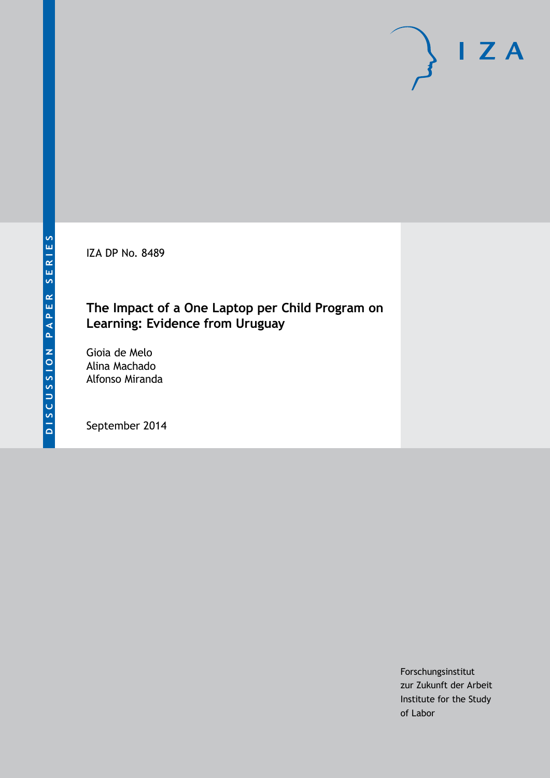IZA DP No. 8489

# **The Impact of a One Laptop per Child Program on Learning: Evidence from Uruguay**

Gioia de Melo Alina Machado Alfonso Miranda

September 2014

Forschungsinstitut zur Zukunft der Arbeit Institute for the Study of Labor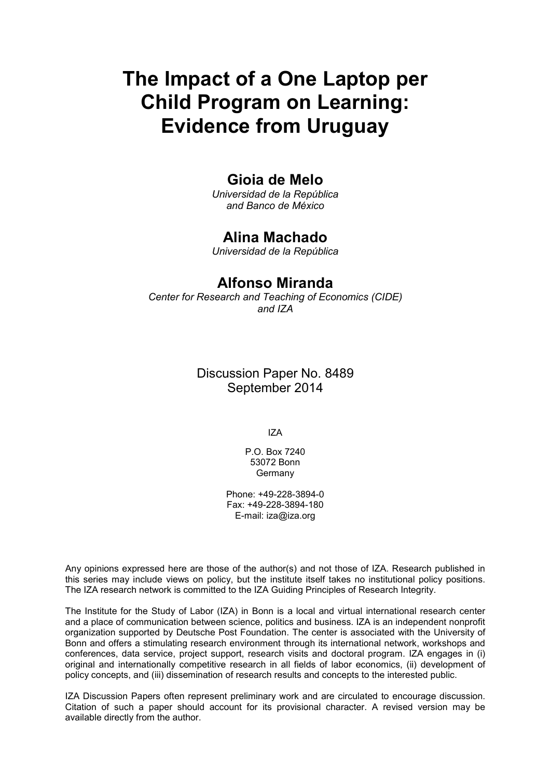# **The Impact of a One Laptop per Child Program on Learning: Evidence from Uruguay**

## **Gioia de Melo**

*Universidad de la República and Banco de México*

## **Alina Machado**

*Universidad de la República*

## **Alfonso Miranda**

*Center for Research and Teaching of Economics (CIDE) and IZA*

> Discussion Paper No. 8489 September 2014

> > IZA

P.O. Box 7240 53072 Bonn **Germany** 

Phone: +49-228-3894-0 Fax: +49-228-3894-180 E-mail: [iza@iza.org](mailto:iza@iza.org)

Any opinions expressed here are those of the author(s) and not those of IZA. Research published in this series may include views on policy, but the institute itself takes no institutional policy positions. The IZA research network is committed to the IZA Guiding Principles of Research Integrity.

The Institute for the Study of Labor (IZA) in Bonn is a local and virtual international research center and a place of communication between science, politics and business. IZA is an independent nonprofit organization supported by Deutsche Post Foundation. The center is associated with the University of Bonn and offers a stimulating research environment through its international network, workshops and conferences, data service, project support, research visits and doctoral program. IZA engages in (i) original and internationally competitive research in all fields of labor economics, (ii) development of policy concepts, and (iii) dissemination of research results and concepts to the interested public.

IZA Discussion Papers often represent preliminary work and are circulated to encourage discussion. Citation of such a paper should account for its provisional character. A revised version may be available directly from the author.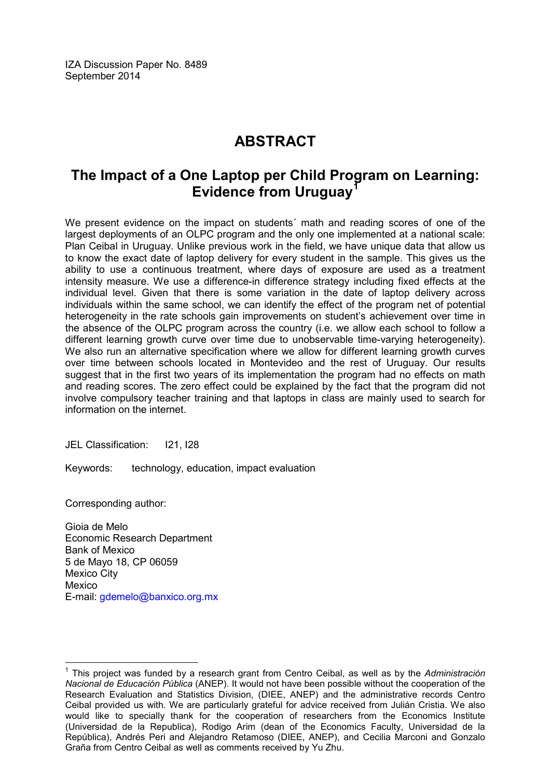IZA Discussion Paper No. 8489 September 2014

# **ABSTRACT**

# **The Impact of a One Laptop per Child Program on Learning: Evidence from Uruguay[1](#page-2-0)**

We present evidence on the impact on students´ math and reading scores of one of the largest deployments of an OLPC program and the only one implemented at a national scale: Plan Ceibal in Uruguay. Unlike previous work in the field, we have unique data that allow us to know the exact date of laptop delivery for every student in the sample. This gives us the ability to use a continuous treatment, where days of exposure are used as a treatment intensity measure. We use a difference-in difference strategy including fixed effects at the individual level. Given that there is some variation in the date of laptop delivery across individuals within the same school, we can identify the effect of the program net of potential heterogeneity in the rate schools gain improvements on student's achievement over time in the absence of the OLPC program across the country (i.e. we allow each school to follow a different learning growth curve over time due to unobservable time-varying heterogeneity). We also run an alternative specification where we allow for different learning growth curves over time between schools located in Montevideo and the rest of Uruguay. Our results suggest that in the first two years of its implementation the program had no effects on math and reading scores. The zero effect could be explained by the fact that the program did not involve compulsory teacher training and that laptops in class are mainly used to search for information on the internet.

JEL Classification: I21, I28

Keywords: technology, education, impact evaluation

Corresponding author:

Gioia de Melo Economic Research Department Bank of Mexico 5 de Mayo 18, CP 06059 Mexico City Mexico E-mail: [gdemelo@banxico.org.mx](mailto:gdemelo@banxico.org.mx)

<span id="page-2-0"></span><sup>1</sup> This project was funded by a research grant from Centro Ceibal, as well as by the *Administración Nacional de Educación Pública* (ANEP). It would not have been possible without the cooperation of the Research Evaluation and Statistics Division, (DIEE, ANEP) and the administrative records Centro Ceibal provided us with. We are particularly grateful for advice received from Julián Cristia. We also would like to specially thank for the cooperation of researchers from the Economics Institute (Universidad de la Republica), Rodigo Arim (dean of the Economics Faculty, Universidad de la República), Andrés Peri and Alejandro Retamoso (DIEE, ANEP), and Cecilia Marconi and Gonzalo Graña from Centro Ceibal as well as comments received by Yu Zhu.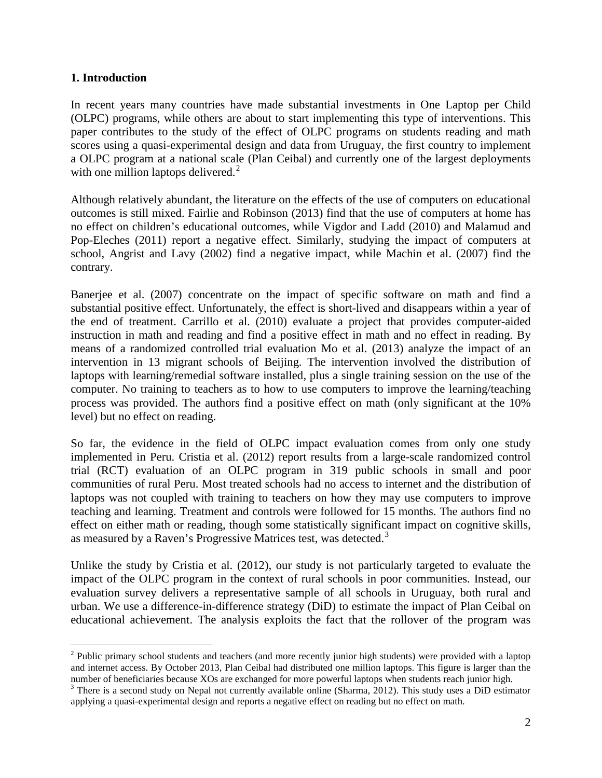#### **1. Introduction**

In recent years many countries have made substantial investments in One Laptop per Child (OLPC) programs, while others are about to start implementing this type of interventions. This paper contributes to the study of the effect of OLPC programs on students reading and math scores using a quasi-experimental design and data from Uruguay, the first country to implement a OLPC program at a national scale (Plan Ceibal) and currently one of the largest deployments with one million laptops delivered. $<sup>2</sup>$ </sup>

Although relatively abundant, the literature on the effects of the use of computers on educational outcomes is still mixed. Fairlie and Robinson (2013) find that the use of computers at home has no effect on children's educational outcomes, while Vigdor and Ladd (2010) and Malamud and Pop-Eleches (2011) report a negative effect. Similarly, studying the impact of computers at school, Angrist and Lavy (2002) find a negative impact, while Machin et al. (2007) find the contrary.

Banerjee et al. (2007) concentrate on the impact of specific software on math and find a substantial positive effect. Unfortunately, the effect is short-lived and disappears within a year of the end of treatment. Carrillo et al. (2010) evaluate a project that provides computer-aided instruction in math and reading and find a positive effect in math and no effect in reading. By means of a randomized controlled trial evaluation Mo et al. (2013) analyze the impact of an intervention in 13 migrant schools of Beijing. The intervention involved the distribution of laptops with learning/remedial software installed, plus a single training session on the use of the computer. No training to teachers as to how to use computers to improve the learning/teaching process was provided. The authors find a positive effect on math (only significant at the 10% level) but no effect on reading.

So far, the evidence in the field of OLPC impact evaluation comes from only one study implemented in Peru. Cristia et al. (2012) report results from a large-scale randomized control trial (RCT) evaluation of an OLPC program in 319 public schools in small and poor communities of rural Peru. Most treated schools had no access to internet and the distribution of laptops was not coupled with training to teachers on how they may use computers to improve teaching and learning. Treatment and controls were followed for 15 months. The authors find no effect on either math or reading, though some statistically significant impact on cognitive skills, as measured by a Raven's Progressive Matrices test, was detected.<sup>[3](#page-3-0)</sup>

Unlike the study by Cristia et al. (2012), our study is not particularly targeted to evaluate the impact of the OLPC program in the context of rural schools in poor communities. Instead, our evaluation survey delivers a representative sample of all schools in Uruguay, both rural and urban. We use a difference-in-difference strategy (DiD) to estimate the impact of Plan Ceibal on educational achievement. The analysis exploits the fact that the rollover of the program was

<span id="page-3-1"></span><sup>&</sup>lt;sup>2</sup> Public primary school students and teachers (and more recently junior high students) were provided with a laptop and internet access. By October 2013, Plan Ceibal had distributed one million laptops. This figure is larger than the number of beneficiaries because XOs are exchanged for more powerful laptops when students reach junior high.

<span id="page-3-0"></span><sup>&</sup>lt;sup>3</sup> There is a second study on Nepal not currently available online (Sharma, 2012). This study uses a DiD estimator applying a quasi-experimental design and reports a negative effect on reading but no effect on math.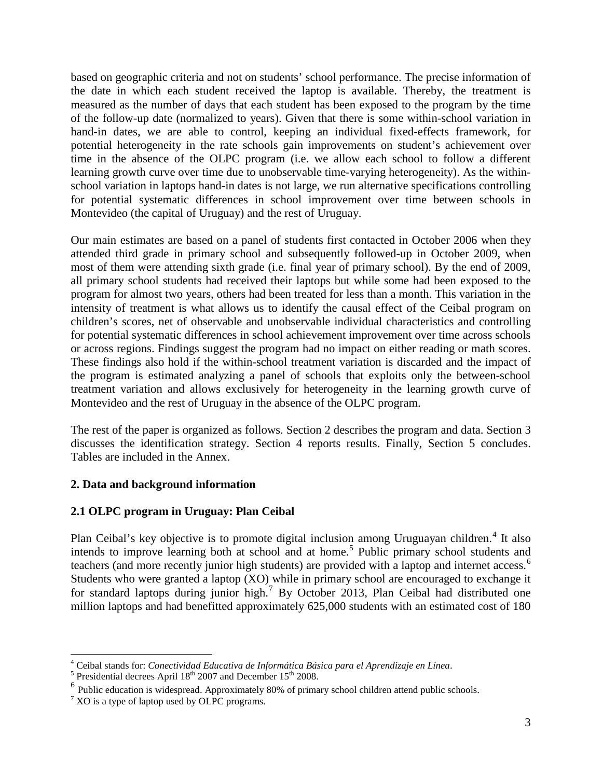based on geographic criteria and not on students' school performance. The precise information of the date in which each student received the laptop is available. Thereby, the treatment is measured as the number of days that each student has been exposed to the program by the time of the follow-up date (normalized to years). Given that there is some within-school variation in hand-in dates, we are able to control, keeping an individual fixed-effects framework, for potential heterogeneity in the rate schools gain improvements on student's achievement over time in the absence of the OLPC program (i.e. we allow each school to follow a different learning growth curve over time due to unobservable time-varying heterogeneity). As the withinschool variation in laptops hand-in dates is not large, we run alternative specifications controlling for potential systematic differences in school improvement over time between schools in Montevideo (the capital of Uruguay) and the rest of Uruguay.

Our main estimates are based on a panel of students first contacted in October 2006 when they attended third grade in primary school and subsequently followed-up in October 2009, when most of them were attending sixth grade (i.e. final year of primary school). By the end of 2009, all primary school students had received their laptops but while some had been exposed to the program for almost two years, others had been treated for less than a month. This variation in the intensity of treatment is what allows us to identify the causal effect of the Ceibal program on children's scores, net of observable and unobservable individual characteristics and controlling for potential systematic differences in school achievement improvement over time across schools or across regions. Findings suggest the program had no impact on either reading or math scores. These findings also hold if the within-school treatment variation is discarded and the impact of the program is estimated analyzing a panel of schools that exploits only the between-school treatment variation and allows exclusively for heterogeneity in the learning growth curve of Montevideo and the rest of Uruguay in the absence of the OLPC program.

The rest of the paper is organized as follows. Section 2 describes the program and data. Section 3 discusses the identification strategy. Section 4 reports results. Finally, Section 5 concludes. Tables are included in the Annex.

#### **2. Data and background information**

#### **2.1 OLPC program in Uruguay: Plan Ceibal**

Plan Ceibal's key objective is to promote digital inclusion among Uruguayan children.<sup>[4](#page-3-1)</sup> It also intends to improve learning both at school and at home.<sup>[5](#page-4-0)</sup> Public primary school students and teachers (and more recently junior high students) are provided with a laptop and internet access.<sup>[6](#page-4-1)</sup> Students who were granted a laptop (XO) while in primary school are encouraged to exchange it for standard laptops during junior high.<sup>[7](#page-4-2)</sup> By October 2013, Plan Ceibal had distributed one million laptops and had benefitted approximately 625,000 students with an estimated cost of 180

<span id="page-4-3"></span><sup>&</sup>lt;sup>4</sup> Ceibal stands for: *Conectividad Educativa de Informática Básica para el Aprendizaje en Línea*.<br><sup>5</sup> Presidential decrees April 18<sup>th</sup> 2007 and December 15<sup>th</sup> 2008.

<span id="page-4-1"></span><span id="page-4-0"></span><sup>&</sup>lt;sup>6</sup> Public education is widespread. Approximately 80% of primary school children attend public schools.

<span id="page-4-2"></span> $7$  XO is a type of laptop used by OLPC programs.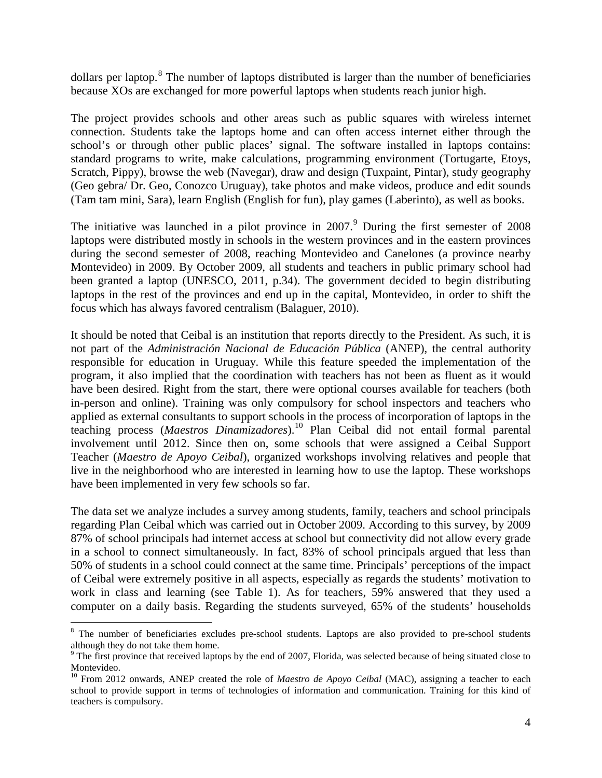dollars per laptop.<sup>[8](#page-4-3)</sup> The number of laptops distributed is larger than the number of beneficiaries because XOs are exchanged for more powerful laptops when students reach junior high.

The project provides schools and other areas such as public squares with wireless internet connection. Students take the laptops home and can often access internet either through the school's or through other public places' signal. The software installed in laptops contains: standard programs to write, make calculations, programming environment (Tortugarte, Etoys, Scratch, Pippy), browse the web (Navegar), draw and design (Tuxpaint, Pintar), study geography (Geo gebra/ Dr. Geo, Conozco Uruguay), take photos and make videos, produce and edit sounds (Tam tam mini, Sara), learn English (English for fun), play games (Laberinto), as well as books.

The initiative was launched in a pilot province in  $2007<sup>9</sup>$  $2007<sup>9</sup>$  $2007<sup>9</sup>$  During the first semester of  $2008$ laptops were distributed mostly in schools in the western provinces and in the eastern provinces during the second semester of 2008, reaching Montevideo and Canelones (a province nearby Montevideo) in 2009. By October 2009, all students and teachers in public primary school had been granted a laptop (UNESCO, 2011, p.34). The government decided to begin distributing laptops in the rest of the provinces and end up in the capital, Montevideo, in order to shift the focus which has always favored centralism (Balaguer, 2010).

It should be noted that Ceibal is an institution that reports directly to the President. As such, it is not part of the *Administración Nacional de Educación Pública* (ANEP), the central authority responsible for education in Uruguay. While this feature speeded the implementation of the program, it also implied that the coordination with teachers has not been as fluent as it would have been desired. Right from the start, there were optional courses available for teachers (both in-person and online). Training was only compulsory for school inspectors and teachers who applied as external consultants to support schools in the process of incorporation of laptops in the teaching process (*Maestros Dinamizadores*). [10](#page-5-1) Plan Ceibal did not entail formal parental involvement until 2012. Since then on, some schools that were assigned a Ceibal Support Teacher (*Maestro de Apoyo Ceibal*), organized workshops involving relatives and people that live in the neighborhood who are interested in learning how to use the laptop. These workshops have been implemented in very few schools so far.

The data set we analyze includes a survey among students, family, teachers and school principals regarding Plan Ceibal which was carried out in October 2009. According to this survey, by 2009 87% of school principals had internet access at school but connectivity did not allow every grade in a school to connect simultaneously. In fact, 83% of school principals argued that less than 50% of students in a school could connect at the same time. Principals' perceptions of the impact of Ceibal were extremely positive in all aspects, especially as regards the students' motivation to work in class and learning (see Table 1). As for teachers, 59% answered that they used a computer on a daily basis. Regarding the students surveyed, 65% of the students' households

<sup>&</sup>lt;sup>8</sup> The number of beneficiaries excludes pre-school students. Laptops are also provided to pre-school students although they do not take them home.

<span id="page-5-0"></span><sup>&</sup>lt;sup>9</sup> The first province that received laptops by the end of 2007, Florida, was selected because of being situated close to Montevideo.

<span id="page-5-2"></span><span id="page-5-1"></span><sup>&</sup>lt;sup>10</sup> From 2012 onwards, ANEP created the role of *Maestro de Apoyo Ceibal* (MAC), assigning a teacher to each school to provide support in terms of technologies of information and communication. Training for this kind of teachers is compulsory.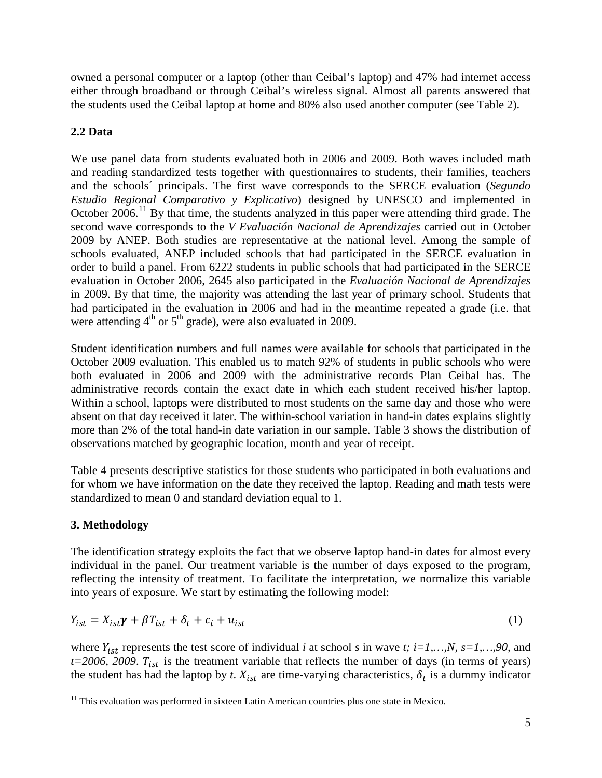owned a personal computer or a laptop (other than Ceibal's laptop) and 47% had internet access either through broadband or through Ceibal's wireless signal. Almost all parents answered that the students used the Ceibal laptop at home and 80% also used another computer (see Table 2).

### **2.2 Data**

We use panel data from students evaluated both in 2006 and 2009. Both waves included math and reading standardized tests together with questionnaires to students, their families, teachers and the schools´ principals. The first wave corresponds to the SERCE evaluation (*Segundo Estudio Regional Comparativo y Explicativo*) designed by UNESCO and implemented in October 2006.<sup>[11](#page-5-2)</sup> By that time, the students analyzed in this paper were attending third grade. The second wave corresponds to the *V Evaluación Nacional de Aprendizajes* carried out in October 2009 by ANEP. Both studies are representative at the national level. Among the sample of schools evaluated, ANEP included schools that had participated in the SERCE evaluation in order to build a panel. From 6222 students in public schools that had participated in the SERCE evaluation in October 2006, 2645 also participated in the *Evaluación Nacional de Aprendizajes* in 2009. By that time, the majority was attending the last year of primary school. Students that had participated in the evaluation in 2006 and had in the meantime repeated a grade (i.e. that were attending  $4<sup>th</sup>$  or  $5<sup>th</sup>$  grade), were also evaluated in 2009.

Student identification numbers and full names were available for schools that participated in the October 2009 evaluation. This enabled us to match 92% of students in public schools who were both evaluated in 2006 and 2009 with the administrative records Plan Ceibal has. The administrative records contain the exact date in which each student received his/her laptop. Within a school, laptops were distributed to most students on the same day and those who were absent on that day received it later. The within-school variation in hand-in dates explains slightly more than 2% of the total hand-in date variation in our sample. Table 3 shows the distribution of observations matched by geographic location, month and year of receipt.

Table 4 presents descriptive statistics for those students who participated in both evaluations and for whom we have information on the date they received the laptop. Reading and math tests were standardized to mean 0 and standard deviation equal to 1.

#### **3. Methodology**

The identification strategy exploits the fact that we observe laptop hand-in dates for almost every individual in the panel. Our treatment variable is the number of days exposed to the program, reflecting the intensity of treatment. To facilitate the interpretation, we normalize this variable into years of exposure. We start by estimating the following model:

$$
Y_{ist} = X_{ist}\gamma + \beta T_{ist} + \delta_t + c_i + u_{ist}
$$
 (1)

where  $Y_{ist}$  represents the test score of individual *i* at school *s* in wave *t*; *i*=1,...,*N*, *s*=1,...,90, and  $t=2006$ , 2009.  $T_{ist}$  is the treatment variable that reflects the number of days (in terms of years) the student has had the laptop by *t*.  $X_{ist}$  are time-varying characteristics,  $\delta_t$  is a dummy indicator

<span id="page-6-0"></span><sup>&</sup>lt;sup>11</sup> This evaluation was performed in sixteen Latin American countries plus one state in Mexico.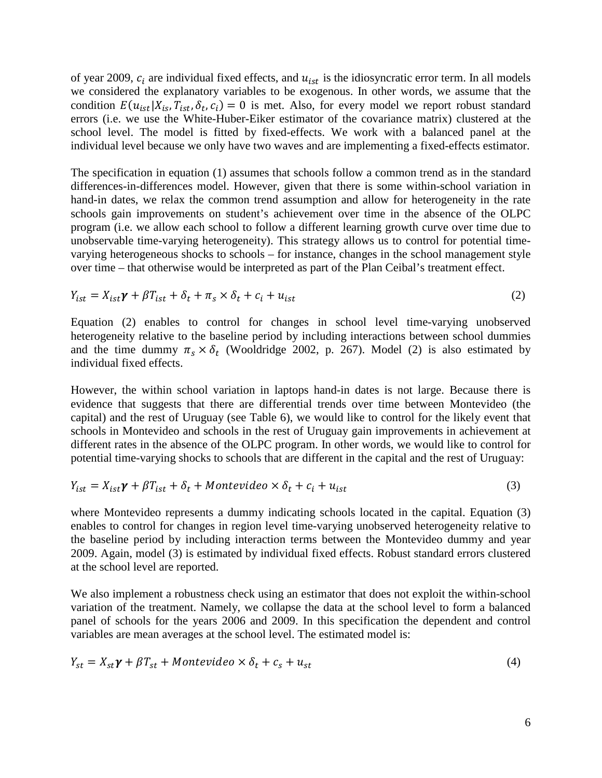of year 2009,  $c_i$  are individual fixed effects, and  $u_{ist}$  is the idiosyncratic error term. In all models we considered the explanatory variables to be exogenous. In other words, we assume that the condition  $E(u_{ist}|X_{is}, T_{ist}, \delta_t, c_i) = 0$  is met. Also, for every model we report robust standard errors (i.e. we use the White-Huber-Eiker estimator of the covariance matrix) clustered at the school level. The model is fitted by fixed-effects. We work with a balanced panel at the individual level because we only have two waves and are implementing a fixed-effects estimator.

The specification in equation (1) assumes that schools follow a common trend as in the standard differences-in-differences model. However, given that there is some within-school variation in hand-in dates, we relax the common trend assumption and allow for heterogeneity in the rate schools gain improvements on student's achievement over time in the absence of the OLPC program (i.e. we allow each school to follow a different learning growth curve over time due to unobservable time-varying heterogeneity). This strategy allows us to control for potential timevarying heterogeneous shocks to schools – for instance, changes in the school management style over time – that otherwise would be interpreted as part of the Plan Ceibal's treatment effect.

$$
Y_{ist} = X_{ist}\gamma + \beta T_{ist} + \delta_t + \pi_s \times \delta_t + c_i + u_{ist}
$$
\n<sup>(2)</sup>

Equation (2) enables to control for changes in school level time-varying unobserved heterogeneity relative to the baseline period by including interactions between school dummies and the time dummy  $\pi_s \times \delta_t$  (Wooldridge 2002, p. 267). Model (2) is also estimated by individual fixed effects.

However, the within school variation in laptops hand-in dates is not large. Because there is evidence that suggests that there are differential trends over time between Montevideo (the capital) and the rest of Uruguay (see Table 6), we would like to control for the likely event that schools in Montevideo and schools in the rest of Uruguay gain improvements in achievement at different rates in the absence of the OLPC program. In other words, we would like to control for potential time-varying shocks to schools that are different in the capital and the rest of Uruguay:

$$
Y_{ist} = X_{ist}\gamma + \beta T_{ist} + \delta_t + Monte video \times \delta_t + c_i + u_{ist}
$$
\n(3)

where Montevideo represents a dummy indicating schools located in the capital. Equation (3) enables to control for changes in region level time-varying unobserved heterogeneity relative to the baseline period by including interaction terms between the Montevideo dummy and year 2009. Again, model (3) is estimated by individual fixed effects. Robust standard errors clustered at the school level are reported.

We also implement a robustness check using an estimator that does not exploit the within-school variation of the treatment. Namely, we collapse the data at the school level to form a balanced panel of schools for the years 2006 and 2009. In this specification the dependent and control variables are mean averages at the school level. The estimated model is:

$$
Y_{st} = X_{st}\gamma + \beta T_{st} + Montevideo \times \delta_t + c_s + u_{st}
$$
\n
$$
\tag{4}
$$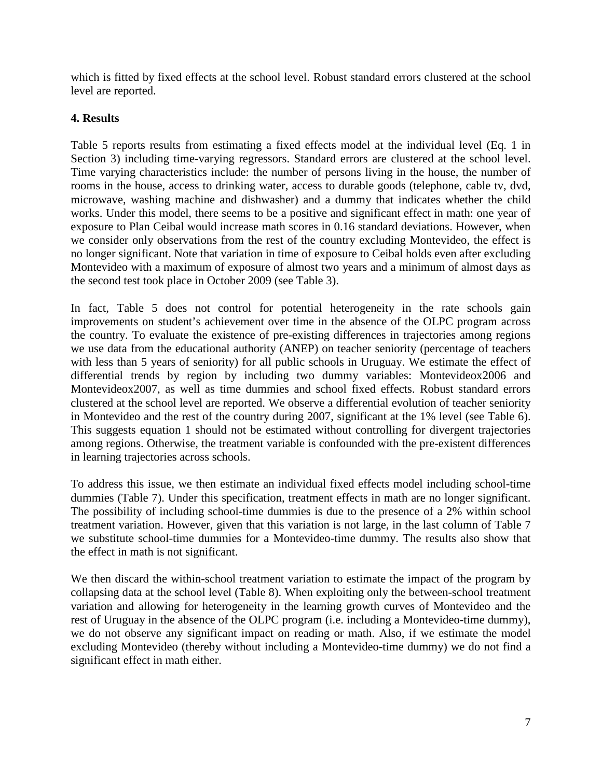which is fitted by fixed effects at the school level. Robust standard errors clustered at the school level are reported.

#### **4. Results**

Table 5 reports results from estimating a fixed effects model at the individual level (Eq. 1 in Section 3) including time-varying regressors. Standard errors are clustered at the school level. Time varying characteristics include: the number of persons living in the house, the number of rooms in the house, access to drinking water, access to durable goods (telephone, cable tv, dvd, microwave, washing machine and dishwasher) and a dummy that indicates whether the child works. Under this model, there seems to be a positive and significant effect in math: one year of exposure to Plan Ceibal would increase math scores in 0.16 standard deviations. However, when we consider only observations from the rest of the country excluding Montevideo, the effect is no longer significant. Note that variation in time of exposure to Ceibal holds even after excluding Montevideo with a maximum of exposure of almost two years and a minimum of almost days as the second test took place in October 2009 (see Table 3).

In fact, Table 5 does not control for potential heterogeneity in the rate schools gain improvements on student's achievement over time in the absence of the OLPC program across the country. To evaluate the existence of pre-existing differences in trajectories among regions we use data from the educational authority (ANEP) on teacher seniority (percentage of teachers with less than 5 years of seniority) for all public schools in Uruguay. We estimate the effect of differential trends by region by including two dummy variables: Montevideox2006 and Montevideox2007, as well as time dummies and school fixed effects. Robust standard errors clustered at the school level are reported. We observe a differential evolution of teacher seniority in Montevideo and the rest of the country during 2007, significant at the 1% level (see Table 6). This suggests equation 1 should not be estimated without controlling for divergent trajectories among regions. Otherwise, the treatment variable is confounded with the pre-existent differences in learning trajectories across schools.

To address this issue, we then estimate an individual fixed effects model including school-time dummies (Table 7). Under this specification, treatment effects in math are no longer significant. The possibility of including school-time dummies is due to the presence of a 2% within school treatment variation. However, given that this variation is not large, in the last column of Table 7 we substitute school-time dummies for a Montevideo-time dummy. The results also show that the effect in math is not significant.

We then discard the within-school treatment variation to estimate the impact of the program by collapsing data at the school level (Table 8). When exploiting only the between-school treatment variation and allowing for heterogeneity in the learning growth curves of Montevideo and the rest of Uruguay in the absence of the OLPC program (i.e. including a Montevideo-time dummy), we do not observe any significant impact on reading or math. Also, if we estimate the model excluding Montevideo (thereby without including a Montevideo-time dummy) we do not find a significant effect in math either.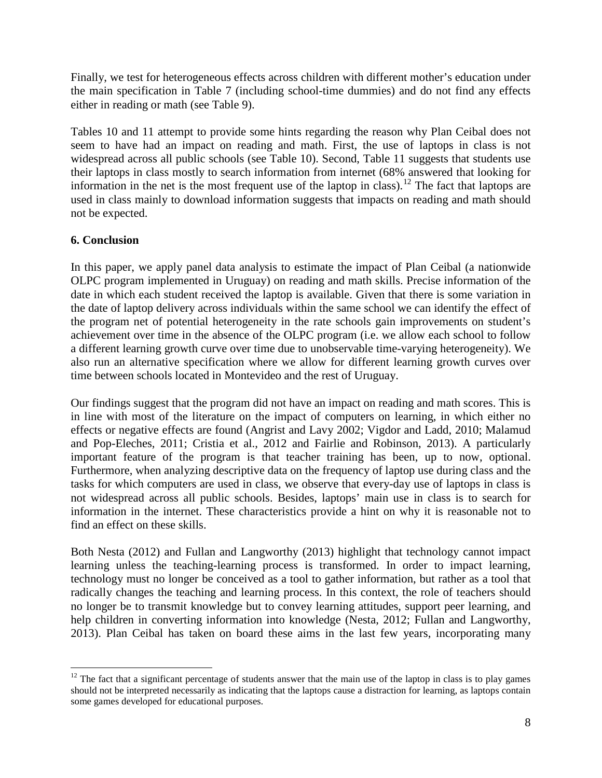Finally, we test for heterogeneous effects across children with different mother's education under the main specification in Table 7 (including school-time dummies) and do not find any effects either in reading or math (see Table 9).

Tables 10 and 11 attempt to provide some hints regarding the reason why Plan Ceibal does not seem to have had an impact on reading and math. First, the use of laptops in class is not widespread across all public schools (see Table 10). Second, Table 11 suggests that students use their laptops in class mostly to search information from internet (68% answered that looking for information in the net is the most frequent use of the laptop in class).<sup>[12](#page-6-0)</sup> The fact that laptops are used in class mainly to download information suggests that impacts on reading and math should not be expected.

#### **6. Conclusion**

In this paper, we apply panel data analysis to estimate the impact of Plan Ceibal (a nationwide OLPC program implemented in Uruguay) on reading and math skills. Precise information of the date in which each student received the laptop is available. Given that there is some variation in the date of laptop delivery across individuals within the same school we can identify the effect of the program net of potential heterogeneity in the rate schools gain improvements on student's achievement over time in the absence of the OLPC program (i.e. we allow each school to follow a different learning growth curve over time due to unobservable time-varying heterogeneity). We also run an alternative specification where we allow for different learning growth curves over time between schools located in Montevideo and the rest of Uruguay.

Our findings suggest that the program did not have an impact on reading and math scores. This is in line with most of the literature on the impact of computers on learning, in which either no effects or negative effects are found (Angrist and Lavy 2002; Vigdor and Ladd, 2010; Malamud and Pop-Eleches, 2011; Cristia et al., 2012 and Fairlie and Robinson, 2013). A particularly important feature of the program is that teacher training has been, up to now, optional. Furthermore, when analyzing descriptive data on the frequency of laptop use during class and the tasks for which computers are used in class, we observe that every-day use of laptops in class is not widespread across all public schools. Besides, laptops' main use in class is to search for information in the internet. These characteristics provide a hint on why it is reasonable not to find an effect on these skills.

Both Nesta (2012) and Fullan and Langworthy (2013) highlight that technology cannot impact learning unless the teaching-learning process is transformed. In order to impact learning, technology must no longer be conceived as a tool to gather information, but rather as a tool that radically changes the teaching and learning process. In this context, the role of teachers should no longer be to transmit knowledge but to convey learning attitudes, support peer learning, and help children in converting information into knowledge (Nesta, 2012; Fullan and Langworthy, 2013). Plan Ceibal has taken on board these aims in the last few years, incorporating many

<span id="page-9-0"></span> $12$  The fact that a significant percentage of students answer that the main use of the laptop in class is to play games should not be interpreted necessarily as indicating that the laptops cause a distraction for learning, as laptops contain some games developed for educational purposes.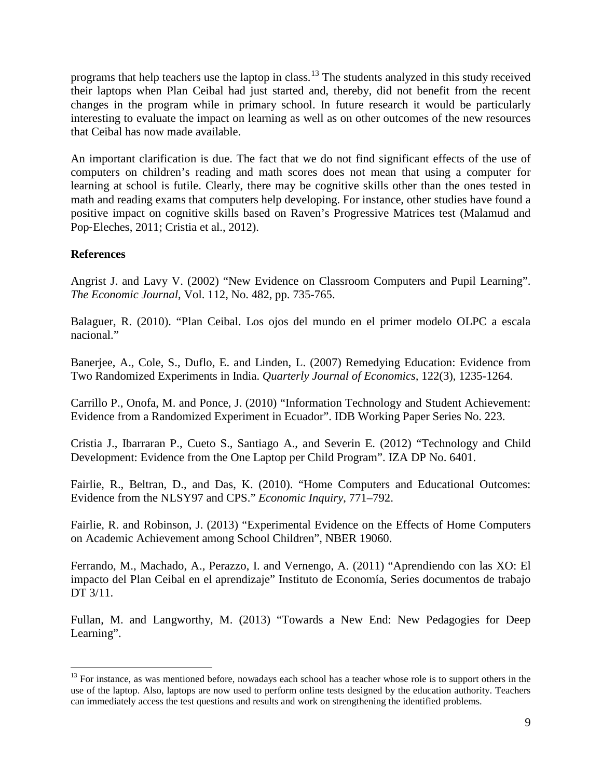programs that help teachers use the laptop in class.[13](#page-9-0) The students analyzed in this study received their laptops when Plan Ceibal had just started and, thereby, did not benefit from the recent changes in the program while in primary school. In future research it would be particularly interesting to evaluate the impact on learning as well as on other outcomes of the new resources that Ceibal has now made available.

An important clarification is due. The fact that we do not find significant effects of the use of computers on children's reading and math scores does not mean that using a computer for learning at school is futile. Clearly, there may be cognitive skills other than the ones tested in math and reading exams that computers help developing. For instance, other studies have found a positive impact on cognitive skills based on Raven's Progressive Matrices test (Malamud and Pop‐Eleches, 2011; Cristia et al., 2012).

#### **References**

Angrist J. and Lavy V. (2002) "New Evidence on Classroom Computers and Pupil Learning". *The Economic Journal*, Vol. 112, No. 482, pp. 735-765.

Balaguer, R. (2010). "Plan Ceibal. Los ojos del mundo en el primer modelo OLPC a escala nacional."

Banerjee, A., Cole, S., Duflo, E. and Linden, L. (2007) Remedying Education: Evidence from Two Randomized Experiments in India. *Quarterly Journal of Economics,* 122(3), 1235-1264.

Carrillo P., Onofa, M. and Ponce, J. (2010) "Information Technology and Student Achievement: Evidence from a Randomized Experiment in Ecuador". IDB Working Paper Series No. 223.

Cristia J., Ibarraran P., Cueto S., Santiago A., and Severin E. (2012) "Technology and Child Development: Evidence from the One Laptop per Child Program". IZA DP No. 6401.

Fairlie, R., Beltran, D., and Das, K. (2010). "Home Computers and Educational Outcomes: Evidence from the NLSY97 and CPS." *Economic Inquiry*, 771–792.

Fairlie, R. and Robinson, J. (2013) "Experimental Evidence on the Effects of Home Computers on Academic Achievement among School Children", NBER 19060.

Ferrando, M., Machado, A., Perazzo, I. and Vernengo, A. (2011) "Aprendiendo con las XO: El impacto del Plan Ceibal en el aprendizaje" Instituto de Economía, Series documentos de trabajo DT 3/11.

Fullan, M. and Langworthy, M. (2013) "Towards a New End: New Pedagogies for Deep Learning".

 $13$  For instance, as was mentioned before, nowadays each school has a teacher whose role is to support others in the use of the laptop. Also, laptops are now used to perform online tests designed by the education authority. Teachers can immediately access the test questions and results and work on strengthening the identified problems.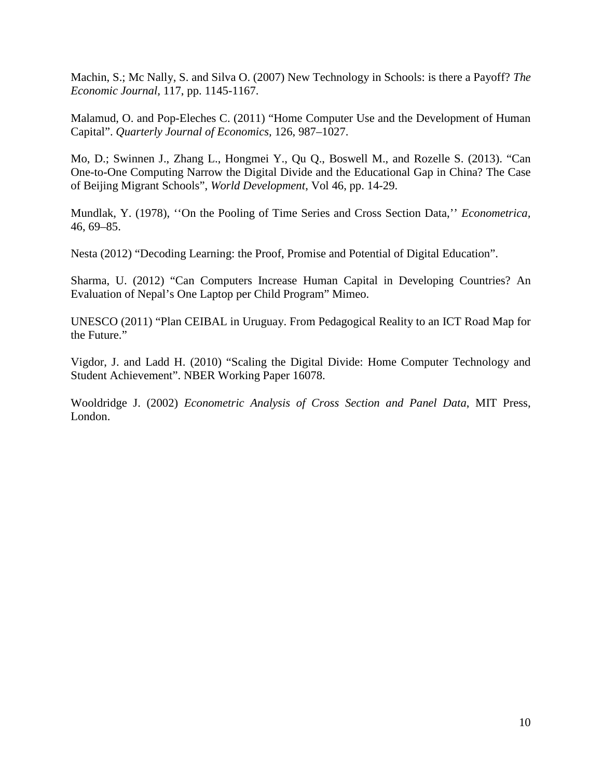Machin, S.; Mc Nally, S. and Silva O. (2007) New Technology in Schools: is there a Payoff? *The Economic Journal,* 117, pp. 1145-1167.

Malamud, O. and Pop-Eleches C. (2011) "Home Computer Use and the Development of Human Capital". *Quarterly Journal of Economics,* 126, 987–1027.

Mo, D.; Swinnen J., Zhang L., Hongmei Y., Qu Q., Boswell M., and Rozelle S. (2013). "Can One-to-One Computing Narrow the Digital Divide and the Educational Gap in China? The Case of Beijing Migrant Schools", *World Development*, Vol 46, pp. 14-29.

Mundlak, Y. (1978), ''On the Pooling of Time Series and Cross Section Data,'' *Econometrica,* 46, 69–85.

Nesta (2012) "Decoding Learning: the Proof, Promise and Potential of Digital Education".

Sharma, U. (2012) "Can Computers Increase Human Capital in Developing Countries? An Evaluation of Nepal's One Laptop per Child Program" Mimeo.

UNESCO (2011) "Plan CEIBAL in Uruguay. From Pedagogical Reality to an ICT Road Map for the Future."

Vigdor, J. and Ladd H. (2010) "Scaling the Digital Divide: Home Computer Technology and Student Achievement". NBER Working Paper 16078.

Wooldridge J. (2002) *Econometric Analysis of Cross Section and Panel Data*, MIT Press, London.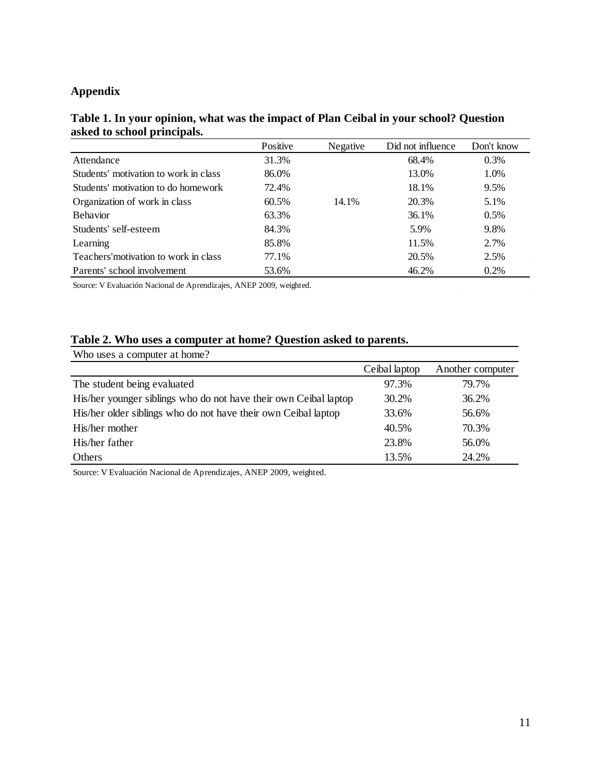#### **Appendix**

|                                       | Positive | Negative | Did not influence | Don't know |
|---------------------------------------|----------|----------|-------------------|------------|
| Attendance                            | 31.3%    |          | 68.4%             | 0.3%       |
| Students' motivation to work in class | 86.0%    |          | 13.0%             | 1.0%       |
| Students' motivation to do homework   | 72.4%    |          | 18.1%             | 9.5%       |
| Organization of work in class         | 60.5%    | 14.1%    | 20.3%             | 5.1%       |
| <b>Behavior</b>                       | 63.3%    |          | 36.1%             | $0.5\%$    |
| Students' self-esteem                 | 84.3%    |          | 5.9%              | 9.8%       |
| Learning                              | 85.8%    |          | 11.5%             | 2.7%       |
| Teachers' motivation to work in class | 77.1%    |          | 20.5%             | 2.5%       |
| Parents' school involvement           | 53.6%    |          | 46.2%             | $0.2\%$    |

#### **Table 1. In your opinion, what was the impact of Plan Ceibal in your school? Question asked to school principals.**

Source: V Evaluación Nacional de Aprendizajes, ANEP 2009, weighted.

#### **Table 2. Who uses a computer at home? Question asked to parents.**

| Who uses a computer at home?                                     |               |                  |
|------------------------------------------------------------------|---------------|------------------|
|                                                                  | Ceibal laptop | Another computer |
| The student being evaluated                                      | 97.3%         | 79.7%            |
| His/her younger siblings who do not have their own Ceibal laptop | 30.2%         | 36.2%            |
| His/her older siblings who do not have their own Ceibal laptop   | 33.6%         | 56.6%            |
| His/her mother                                                   | 40.5%         | 70.3%            |
| His/her father                                                   | 23.8%         | 56.0%            |
| Others                                                           | 13.5%         | 24.2%            |

Source: V Evaluación Nacional de Aprendizajes, ANEP 2009, weighted.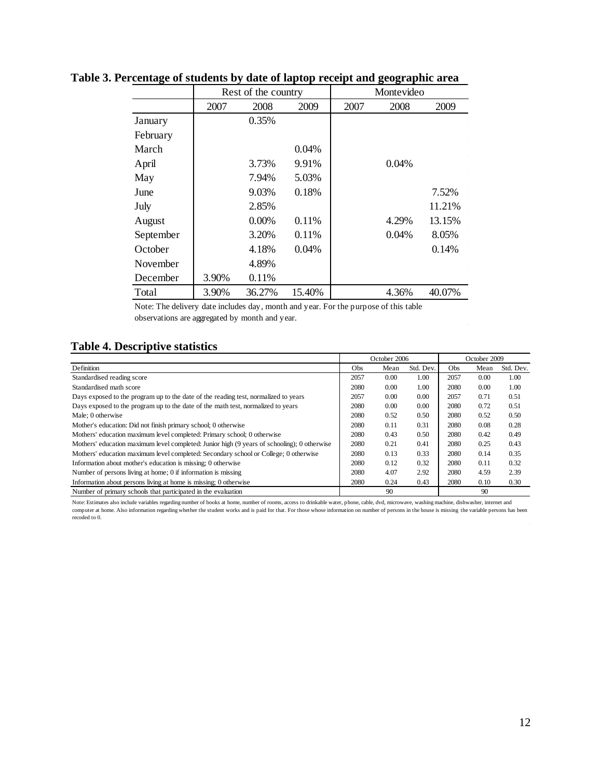|           |       | Rest of the country |        |      | Montevideo |        |
|-----------|-------|---------------------|--------|------|------------|--------|
|           | 2007  | 2008                | 2009   | 2007 | 2008       | 2009   |
| January   |       | 0.35%               |        |      |            |        |
| February  |       |                     |        |      |            |        |
| March     |       |                     | 0.04%  |      |            |        |
| April     |       | 3.73%               | 9.91%  |      | 0.04%      |        |
| May       |       | 7.94%               | 5.03%  |      |            |        |
| June      |       | 9.03%               | 0.18%  |      |            | 7.52%  |
| July      |       | 2.85%               |        |      |            | 11.21% |
| August    |       | $0.00\%$            | 0.11%  |      | 4.29%      | 13.15% |
| September |       | 3.20%               | 0.11%  |      | 0.04%      | 8.05%  |
| October   |       | 4.18%               | 0.04%  |      |            | 0.14%  |
| November  |       | 4.89%               |        |      |            |        |
| December  | 3.90% | 0.11%               |        |      |            |        |
| Total     | 3.90% | 36.27%              | 15.40% |      | 4.36%      | 40.07% |

#### **Table 3. Percentage of students by date of laptop receipt and geographic area**

Note: The delivery date includes day, month and year. For the purpose of this table observations are aggregated by month and year.

#### **Table 4. Descriptive statistics**

|                                                                                             | October 2006 |      |           | October 2009 |      |           |
|---------------------------------------------------------------------------------------------|--------------|------|-----------|--------------|------|-----------|
| Definition                                                                                  | Obs          | Mean | Std. Dev. | Obs          | Mean | Std. Dev. |
| Standardised reading score                                                                  | 2057         | 0.00 | 1.00      | 2057         | 0.00 | 1.00      |
| Standardised math score                                                                     | 2080         | 0.00 | 1.00      | 2080         | 0.00 | 1.00      |
| Days exposed to the program up to the date of the reading test, normalized to years         | 2057         | 0.00 | 0.00      | 2057         | 0.71 | 0.51      |
| Days exposed to the program up to the date of the math test, normalized to years            | 2080         | 0.00 | 0.00      | 2080         | 0.72 | 0.51      |
| Male: 0 otherwise                                                                           | 2080         | 0.52 | 0.50      | 2080         | 0.52 | 0.50      |
| Mother's education: Did not finish primary school; 0 otherwise                              | 2080         | 0.11 | 0.31      | 2080         | 0.08 | 0.28      |
| Mothers' education maximum level completed: Primary school; 0 otherwise                     | 2080         | 0.43 | 0.50      | 2080         | 0.42 | 0.49      |
| Mothers' education maximum level completed: Junior high (9 years of schooling); 0 otherwise | 2080         | 0.21 | 0.41      | 2080         | 0.25 | 0.43      |
| Mothers' education maximum level completed: Secondary school or College; 0 otherwise        | 2080         | 0.13 | 0.33      | 2080         | 0.14 | 0.35      |
| Information about mother's education is missing; 0 otherwise                                | 2080         | 0.12 | 0.32      | 2080         | 0.11 | 0.32      |
| Number of persons living at home; 0 if information is missing                               | 2080         | 4.07 | 2.92      | 2080         | 4.59 | 2.39      |
| Information about persons living at home is missing; 0 otherwise                            | 2080         | 0.24 | 0.43      | 2080         | 0.10 | 0.30      |
| Number of primary schools that participated in the evaluation                               |              | 90   |           |              | 90   |           |

Note: Estimates also include variables regarding number of books at home, number of rooms, access to drinkable water, phone, cable, dvd, microwave, washing machine, dishwasher, internet and<br>computer at home. Also informati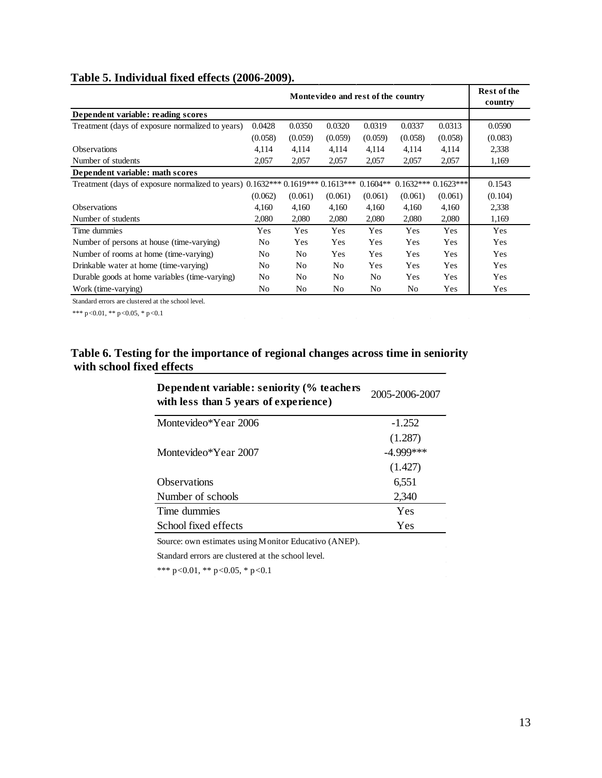#### **Table 5. Individual fixed effects (2006-2009).**

| Montevideo and rest of the country                                             |                |         |                |            |         |                      | <b>Rest of the</b><br>country |
|--------------------------------------------------------------------------------|----------------|---------|----------------|------------|---------|----------------------|-------------------------------|
| Dependent variable: reading scores                                             |                |         |                |            |         |                      |                               |
| Treatment (days of exposure normalized to years)                               | 0.0428         | 0.0350  | 0.0320         | 0.0319     | 0.0337  | 0.0313               | 0.0590                        |
|                                                                                | (0.058)        | (0.059) | (0.059)        | (0.059)    | (0.058) | (0.058)              | (0.083)                       |
| <b>Observations</b>                                                            | 4,114          | 4,114   | 4,114          | 4,114      | 4,114   | 4,114                | 2,338                         |
| Number of students                                                             | 2,057          | 2,057   | 2,057          | 2,057      | 2,057   | 2,057                | 1,169                         |
| Dependent variable: math scores                                                |                |         |                |            |         |                      |                               |
| Treatment (days of exposure normalized to years) 0.1632*** 0.1619*** 0.1613*** |                |         |                | $0.1604**$ |         | $0.1632***0.1623***$ | 0.1543                        |
|                                                                                | (0.062)        | (0.061) | (0.061)        | (0.061)    | (0.061) | (0.061)              | (0.104)                       |
| <b>Observations</b>                                                            | 4,160          | 4,160   | 4,160          | 4,160      | 4,160   | 4,160                | 2,338                         |
| Number of students                                                             | 2,080          | 2,080   | 2,080          | 2,080      | 2,080   | 2,080                | 1,169                         |
| Time dummies                                                                   | Yes            | Yes     | Yes            | Yes        | Yes     | Yes                  | Yes                           |
| Number of persons at house (time-varying)                                      | N <sub>0</sub> | Yes     | Yes            | Yes        | Yes     | Yes                  | Yes                           |
| Number of rooms at home (time-varying)                                         | No.            | No      | Yes            | Yes        | Yes     | Yes                  | Yes                           |
| Drinkable water at home (time-varying)                                         | No.            | No      | N <sub>0</sub> | Yes        | Yes     | <b>Yes</b>           | Yes                           |
| Durable goods at home variables (time-varying)                                 | No             | No      | N <sub>0</sub> | No.        | Yes     | <b>Yes</b>           | Yes                           |
| Work (time-varying)                                                            | No.            | No      | N <sub>0</sub> | No         | No      | Yes                  | Yes                           |

Standard errors are clustered at the school level.

\*\*\* p<0.01, \*\* p<0.05, \* p<0.1

#### **Table 6. Testing for the importance of regional changes across time in seniority with school fixed effects**

| Dependent variable: seniority (% teachers)<br>with less than 5 years of experience) | 2005-2006-2007 |
|-------------------------------------------------------------------------------------|----------------|
| Montevideo*Year 2006                                                                | $-1.252$       |
|                                                                                     | (1.287)        |
| Montevideo*Year 2007                                                                | $-4.999***$    |
|                                                                                     | (1.427)        |
| <b>Observations</b>                                                                 | 6,551          |
| Number of schools                                                                   | 2,340          |
| Time dummies                                                                        | Yes            |
| School fixed effects                                                                | Yes            |

Source: own estimates using Monitor Educativo (ANEP).

Standard errors are clustered at the school level.

\*\*\* p<0.01, \*\* p<0.05, \* p<0.1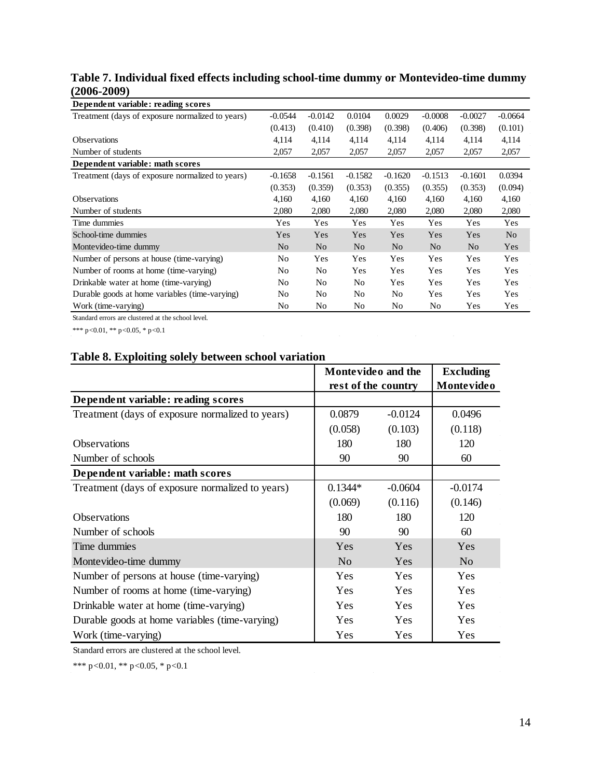#### **Table 7. Individual fixed effects including school-time dummy or Montevideo-time dummy (2006-2009)**

| Dependent variable: reading scores               |                |                |                |                |                |                |                |
|--------------------------------------------------|----------------|----------------|----------------|----------------|----------------|----------------|----------------|
| Treatment (days of exposure normalized to years) | $-0.0544$      | $-0.0142$      | 0.0104         | 0.0029         | $-0.0008$      | $-0.0027$      | $-0.0664$      |
|                                                  | (0.413)        | (0.410)        | (0.398)        | (0.398)        | (0.406)        | (0.398)        | (0.101)        |
| <b>Observations</b>                              | 4,114          | 4,114          | 4,114          | 4,114          | 4,114          | 4,114          | 4,114          |
| Number of students                               | 2,057          | 2,057          | 2,057          | 2,057          | 2,057          | 2,057          | 2,057          |
| Dependent variable: math scores                  |                |                |                |                |                |                |                |
| Treatment (days of exposure normalized to years) | $-0.1658$      | $-0.1561$      | $-0.1582$      | $-0.1620$      | $-0.1513$      | $-0.1601$      | 0.0394         |
|                                                  | (0.353)        | (0.359)        | (0.353)        | (0.355)        | (0.355)        | (0.353)        | (0.094)        |
| <b>Observations</b>                              | 4,160          | 4,160          | 4,160          | 4,160          | 4,160          | 4,160          | 4,160          |
| Number of students                               | 2,080          | 2,080          | 2,080          | 2,080          | 2,080          | 2,080          | 2,080          |
| Time dummies                                     | Yes            | Yes            | Yes            | Yes            | Yes            | Yes            | Yes            |
| School-time dummies                              | Yes            | Yes            | Yes            | Yes            | Yes            | Yes            | N <sub>0</sub> |
| Montevideo-time dummy                            | N <sub>0</sub> | N <sub>0</sub> | N <sub>0</sub> | N <sub>0</sub> | N <sub>0</sub> | N <sub>0</sub> | Yes            |
| Number of persons at house (time-varying)        | No.            | Yes            | Yes            | Yes            | Yes            | Yes            | Yes            |
| Number of rooms at home (time-varying)           | N <sub>0</sub> | N <sub>0</sub> | Yes            | Yes            | Yes            | Yes            | Yes            |
| Drinkable water at home (time-varying)           | N <sub>0</sub> | N <sub>0</sub> | No             | Yes            | Yes            | Yes            | Yes            |
| Durable goods at home variables (time-varying)   | No             | No             | No             | N <sub>0</sub> | Yes            | Yes            | Yes            |
| Work (time-varying)                              | No             | No             | N <sub>0</sub> | No             | No             | Yes            | Yes            |

Standard errors are clustered at the school level.

\*\*\* p<0.01, \*\* p<0.05, \* p<0.1

#### **Table 8. Exploiting solely between school variation**

|                                                  | Montevideo and the  |            | <b>Excluding</b> |
|--------------------------------------------------|---------------------|------------|------------------|
|                                                  | rest of the country | Montevideo |                  |
| Dependent variable: reading scores               |                     |            |                  |
| Treatment (days of exposure normalized to years) | 0.0879              | $-0.0124$  | 0.0496           |
|                                                  | (0.058)             | (0.103)    | (0.118)          |
| <b>Observations</b>                              | 180                 | 180        | 120              |
| Number of schools                                | 90                  | 90         | 60               |
| Dependent variable: math scores                  |                     |            |                  |
| Treatment (days of exposure normalized to years) | $0.1344*$           | $-0.0604$  | $-0.0174$        |
|                                                  | (0.069)             | (0.116)    | (0.146)          |
| <b>Observations</b>                              | 180                 | 180        | 120              |
| Number of schools                                | 90                  | 90         | 60               |
| Time dummies                                     | Yes                 | Yes        | Yes              |
| Montevideo-time dummy                            | N <sub>0</sub>      | Yes        | N <sub>o</sub>   |
| Number of persons at house (time-varying)        | Yes                 | <b>Yes</b> | <b>Yes</b>       |
| Number of rooms at home (time-varying)           | Yes                 | <b>Yes</b> | Yes              |
| Drinkable water at home (time-varying)           | Yes                 | <b>Yes</b> | <b>Yes</b>       |
| Durable goods at home variables (time-varying)   | Yes                 | <b>Yes</b> | <b>Yes</b>       |
| Work (time-varying)                              | Yes                 | Yes        | Yes              |

Standard errors are clustered at the school level.

\*\*\* p<0.01, \*\* p<0.05, \* p<0.1